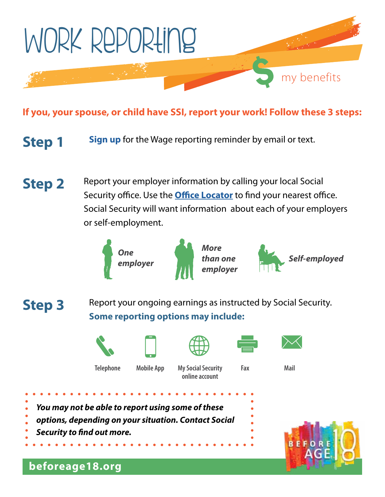

## **If you, your spouse, or child have SSI, report your work! Follow these 3 steps:**

**Step 1** [Sign up](http://www.socialsecurity.gov/disabilityssi/ssi-wage-reporting.html) for the Wage reporting reminder by email or text.

**Step 2**  Report your employer information by calling your local Social Security office. Use the **Office Locator** to find your nearest office. Social Security will want information about each of your employers or self-employment.



*More employer* 





**Step 3** Report your ongoing earnings as instructed by Social Security. **Some reporting options may include:** 











**Telephone Mobile App My Social Security Fax Mail online account** 

- *You may not be able to report using some of these*
- *options, depending on your situation. Contact Social*
- *Security to fnd out more.*



## **[beforeage18.org](https://beforeage18.org)**